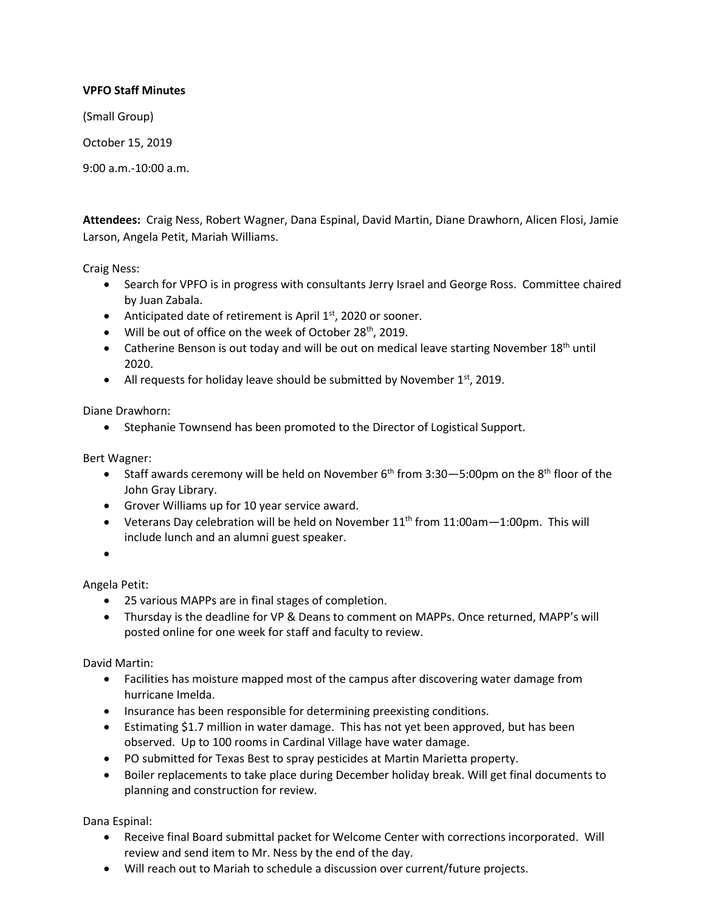## **VPFO Staff Minutes**

(Small Group)

October 15, 2019

9:00 a.m.-10:00 a.m.

**Attendees:** Craig Ness, Robert Wagner, Dana Espinal, David Martin, Diane Drawhorn, Alicen Flosi, Jamie Larson, Angela Petit, Mariah Williams.

Craig Ness:

- Search for VPFO is in progress with consultants Jerry Israel and George Ross. Committee chaired by Juan Zabala.
- Anticipated date of retirement is April  $1<sup>st</sup>$ , 2020 or sooner.
- $\bullet$  Will be out of office on the week of October 28<sup>th</sup>, 2019.
- Catherine Benson is out today and will be out on medical leave starting November 18<sup>th</sup> until 2020.
- All requests for holiday leave should be submitted by November  $1<sup>st</sup>$ , 2019.

Diane Drawhorn:

• Stephanie Townsend has been promoted to the Director of Logistical Support.

Bert Wagner:

- Staff awards ceremony will be held on November  $6<sup>th</sup>$  from 3:30-5:00pm on the  $8<sup>th</sup>$  floor of the John Gray Library.
- Grover Williams up for 10 year service award.
- Veterans Day celebration will be held on November  $11<sup>th</sup>$  from  $11:00$ am $-1:00$ pm. This will include lunch and an alumni guest speaker.

 $\bullet$ 

Angela Petit:

- 25 various MAPPs are in final stages of completion.
- Thursday is the deadline for VP & Deans to comment on MAPPs. Once returned, MAPP's will posted online for one week for staff and faculty to review.

David Martin:

- Facilities has moisture mapped most of the campus after discovering water damage from hurricane Imelda.
- Insurance has been responsible for determining preexisting conditions.
- Estimating \$1.7 million in water damage. This has not yet been approved, but has been observed. Up to 100 rooms in Cardinal Village have water damage.
- PO submitted for Texas Best to spray pesticides at Martin Marietta property.
- Boiler replacements to take place during December holiday break. Will get final documents to planning and construction for review.

Dana Espinal:

- Receive final Board submittal packet for Welcome Center with corrections incorporated. Will review and send item to Mr. Ness by the end of the day.
- Will reach out to Mariah to schedule a discussion over current/future projects.